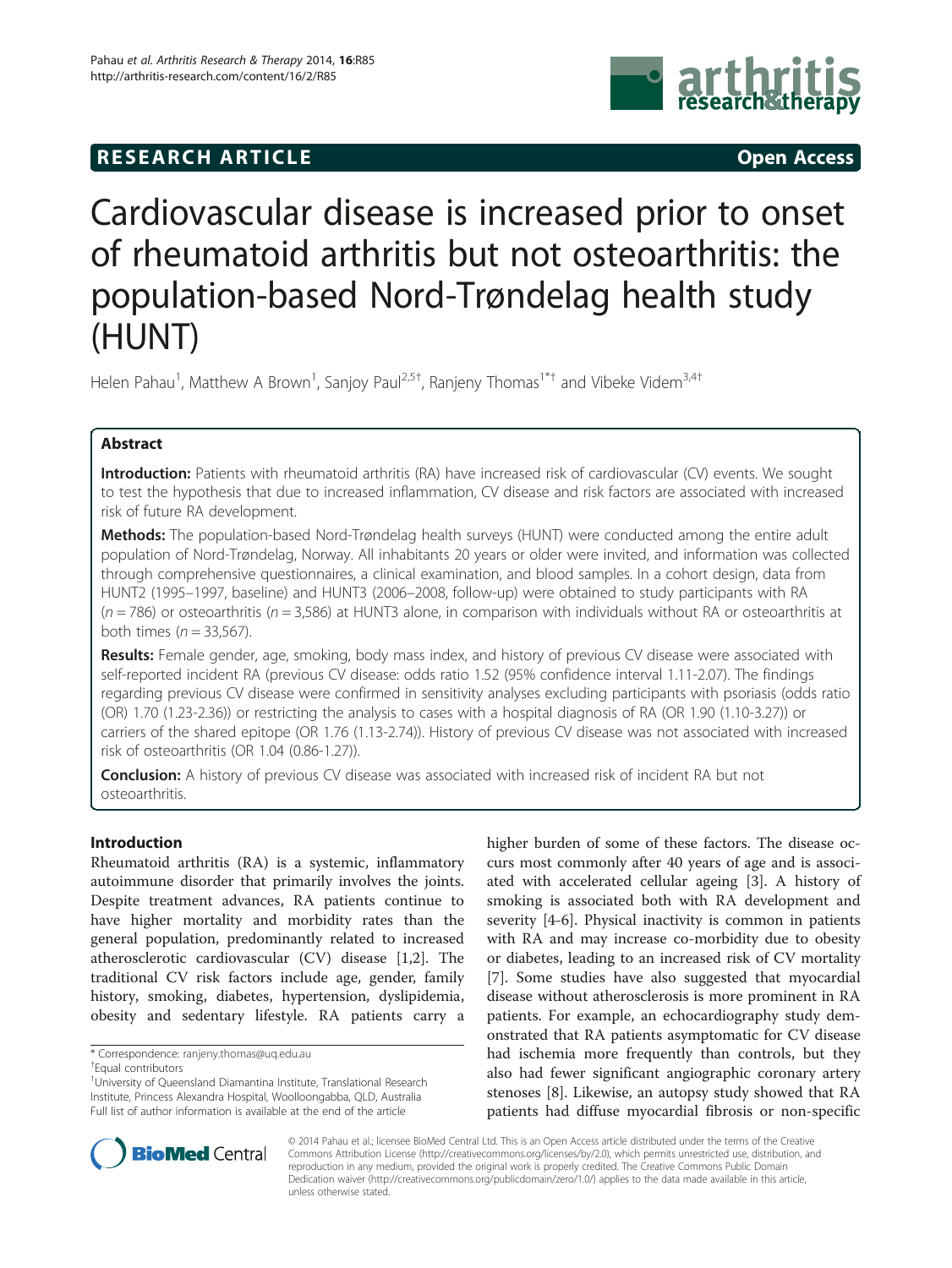## **RESEARCH ARTICLE Example 2014 The SEAR CH ACCESS**



# Cardiovascular disease is increased prior to onset of rheumatoid arthritis but not osteoarthritis: the population-based Nord-Trøndelag health study (HUNT)

Helen Pahau<sup>1</sup>, Matthew A Brown<sup>1</sup>, Sanjoy Paul<sup>2,5†</sup>, Ranjeny Thomas<sup>1\*†</sup> and Vibeke Videm<sup>3,4†</sup>

## Abstract

Introduction: Patients with rheumatoid arthritis (RA) have increased risk of cardiovascular (CV) events. We sought to test the hypothesis that due to increased inflammation, CV disease and risk factors are associated with increased risk of future RA development.

Methods: The population-based Nord-Trøndelag health surveys (HUNT) were conducted among the entire adult population of Nord-Trøndelag, Norway. All inhabitants 20 years or older were invited, and information was collected through comprehensive questionnaires, a clinical examination, and blood samples. In a cohort design, data from HUNT2 (1995–1997, baseline) and HUNT3 (2006–2008, follow-up) were obtained to study participants with RA  $(n = 786)$  or osteoarthritis ( $n = 3,586$ ) at HUNT3 alone, in comparison with individuals without RA or osteoarthritis at both times ( $n = 33,567$ ).

Results: Female gender, age, smoking, body mass index, and history of previous CV disease were associated with self-reported incident RA (previous CV disease: odds ratio 1.52 (95% confidence interval 1.11-2.07). The findings regarding previous CV disease were confirmed in sensitivity analyses excluding participants with psoriasis (odds ratio (OR) 1.70 (1.23-2.36)) or restricting the analysis to cases with a hospital diagnosis of RA (OR 1.90 (1.10-3.27)) or carriers of the shared epitope (OR 1.76 (1.13-2.74)). History of previous CV disease was not associated with increased risk of osteoarthritis (OR 1.04 (0.86-1.27)).

**Conclusion:** A history of previous CV disease was associated with increased risk of incident RA but not osteoarthritis.

## Introduction

Rheumatoid arthritis (RA) is a systemic, inflammatory autoimmune disorder that primarily involves the joints. Despite treatment advances, RA patients continue to have higher mortality and morbidity rates than the general population, predominantly related to increased atherosclerotic cardiovascular (CV) disease [\[1,2](#page-7-0)]. The traditional CV risk factors include age, gender, family history, smoking, diabetes, hypertension, dyslipidemia, obesity and sedentary lifestyle. RA patients carry a

\* Correspondence: [ranjeny.thomas@uq.edu.au](mailto:ranjeny.thomas@uq.edu.au) †

higher burden of some of these factors. The disease occurs most commonly after 40 years of age and is associated with accelerated cellular ageing [\[3\]](#page-7-0). A history of smoking is associated both with RA development and severity [[4-6](#page-7-0)]. Physical inactivity is common in patients with RA and may increase co-morbidity due to obesity or diabetes, leading to an increased risk of CV mortality [[7\]](#page-7-0). Some studies have also suggested that myocardial disease without atherosclerosis is more prominent in RA patients. For example, an echocardiography study demonstrated that RA patients asymptomatic for CV disease had ischemia more frequently than controls, but they also had fewer significant angiographic coronary artery stenoses [\[8\]](#page-7-0). Likewise, an autopsy study showed that RA patients had diffuse myocardial fibrosis or non-specific



© 2014 Pahau et al.; licensee BioMed Central Ltd. This is an Open Access article distributed under the terms of the Creative Commons Attribution License [\(http://creativecommons.org/licenses/by/2.0\)](http://creativecommons.org/licenses/by/2.0), which permits unrestricted use, distribution, and reproduction in any medium, provided the original work is properly credited. The Creative Commons Public Domain Dedication waiver [\(http://creativecommons.org/publicdomain/zero/1.0/](http://creativecommons.org/publicdomain/zero/1.0/)) applies to the data made available in this article, unless otherwise stated.

Equal contributors

<sup>&</sup>lt;sup>1</sup>University of Queensland Diamantina Institute, Translational Research Institute, Princess Alexandra Hospital, Woolloongabba, QLD, Australia Full list of author information is available at the end of the article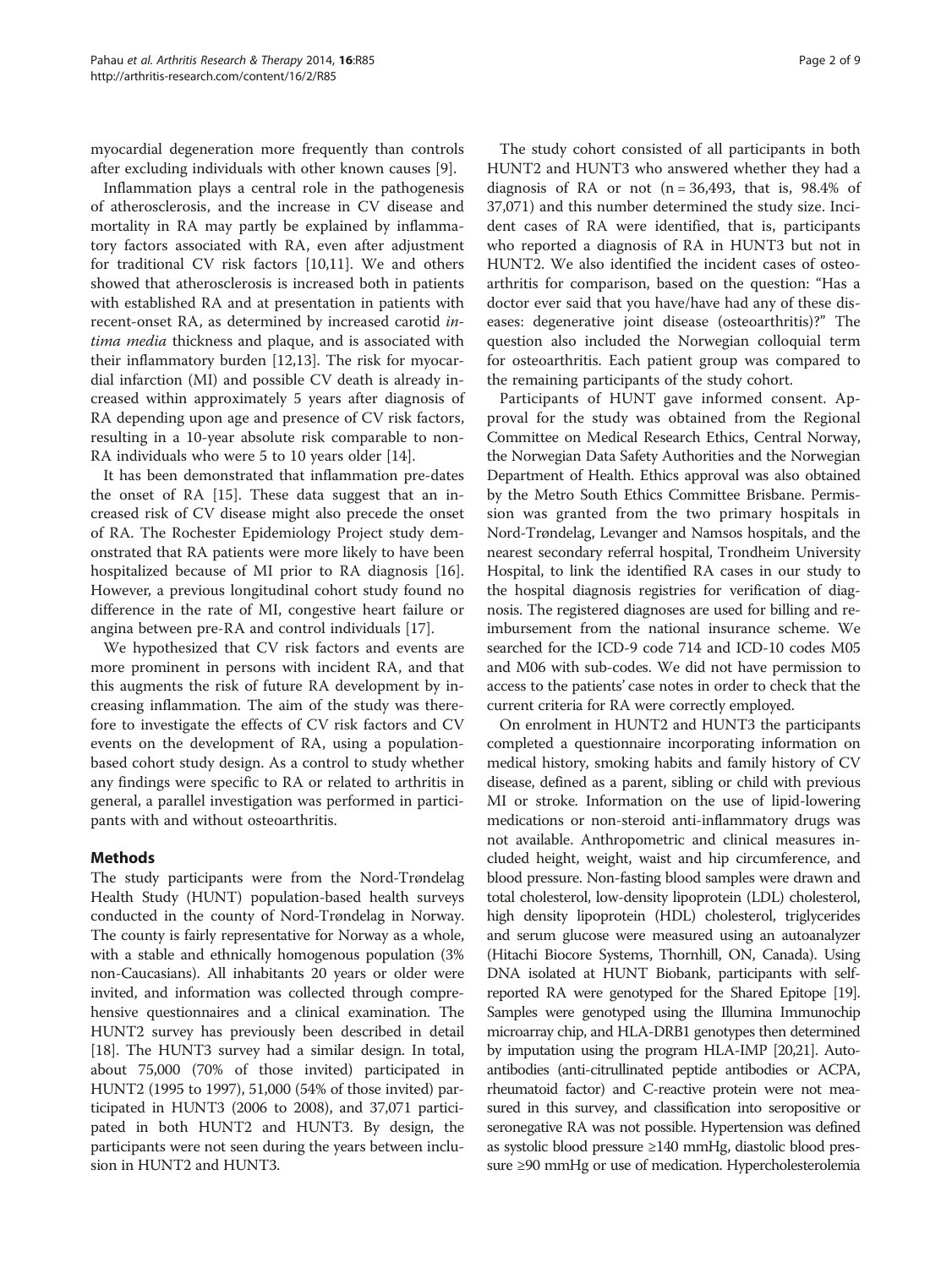myocardial degeneration more frequently than controls after excluding individuals with other known causes [[9\]](#page-7-0).

Inflammation plays a central role in the pathogenesis of atherosclerosis, and the increase in CV disease and mortality in RA may partly be explained by inflammatory factors associated with RA, even after adjustment for traditional CV risk factors [\[10,11\]](#page-7-0). We and others showed that atherosclerosis is increased both in patients with established RA and at presentation in patients with recent-onset RA, as determined by increased carotid intima media thickness and plaque, and is associated with their inflammatory burden [\[12,13](#page-7-0)]. The risk for myocardial infarction (MI) and possible CV death is already increased within approximately 5 years after diagnosis of RA depending upon age and presence of CV risk factors, resulting in a 10-year absolute risk comparable to non-RA individuals who were 5 to 10 years older [[14\]](#page-7-0).

It has been demonstrated that inflammation pre-dates the onset of RA [\[15\]](#page-7-0). These data suggest that an increased risk of CV disease might also precede the onset of RA. The Rochester Epidemiology Project study demonstrated that RA patients were more likely to have been hospitalized because of MI prior to RA diagnosis [\[16](#page-7-0)]. However, a previous longitudinal cohort study found no difference in the rate of MI, congestive heart failure or angina between pre-RA and control individuals [[17\]](#page-7-0).

We hypothesized that CV risk factors and events are more prominent in persons with incident RA, and that this augments the risk of future RA development by increasing inflammation. The aim of the study was therefore to investigate the effects of CV risk factors and CV events on the development of RA, using a populationbased cohort study design. As a control to study whether any findings were specific to RA or related to arthritis in general, a parallel investigation was performed in participants with and without osteoarthritis.

## Methods

The study participants were from the Nord-Trøndelag Health Study (HUNT) population-based health surveys conducted in the county of Nord-Trøndelag in Norway. The county is fairly representative for Norway as a whole, with a stable and ethnically homogenous population (3% non-Caucasians). All inhabitants 20 years or older were invited, and information was collected through comprehensive questionnaires and a clinical examination. The HUNT2 survey has previously been described in detail [[18](#page-7-0)]. The HUNT3 survey had a similar design. In total, about 75,000 (70% of those invited) participated in HUNT2 (1995 to 1997), 51,000 (54% of those invited) participated in HUNT3 (2006 to 2008), and 37,071 participated in both HUNT2 and HUNT3. By design, the participants were not seen during the years between inclusion in HUNT2 and HUNT3.

The study cohort consisted of all participants in both HUNT2 and HUNT3 who answered whether they had a diagnosis of RA or not  $(n = 36,493,$  that is, 98.4% of 37,071) and this number determined the study size. Incident cases of RA were identified, that is, participants who reported a diagnosis of RA in HUNT3 but not in HUNT2. We also identified the incident cases of osteoarthritis for comparison, based on the question: "Has a doctor ever said that you have/have had any of these diseases: degenerative joint disease (osteoarthritis)?" The question also included the Norwegian colloquial term for osteoarthritis. Each patient group was compared to the remaining participants of the study cohort.

Participants of HUNT gave informed consent. Approval for the study was obtained from the Regional Committee on Medical Research Ethics, Central Norway, the Norwegian Data Safety Authorities and the Norwegian Department of Health. Ethics approval was also obtained by the Metro South Ethics Committee Brisbane. Permission was granted from the two primary hospitals in Nord-Trøndelag, Levanger and Namsos hospitals, and the nearest secondary referral hospital, Trondheim University Hospital, to link the identified RA cases in our study to the hospital diagnosis registries for verification of diagnosis. The registered diagnoses are used for billing and reimbursement from the national insurance scheme. We searched for the ICD-9 code 714 and ICD-10 codes M05 and M06 with sub-codes. We did not have permission to access to the patients' case notes in order to check that the current criteria for RA were correctly employed.

On enrolment in HUNT2 and HUNT3 the participants completed a questionnaire incorporating information on medical history, smoking habits and family history of CV disease, defined as a parent, sibling or child with previous MI or stroke. Information on the use of lipid-lowering medications or non-steroid anti-inflammatory drugs was not available. Anthropometric and clinical measures included height, weight, waist and hip circumference, and blood pressure. Non-fasting blood samples were drawn and total cholesterol, low-density lipoprotein (LDL) cholesterol, high density lipoprotein (HDL) cholesterol, triglycerides and serum glucose were measured using an autoanalyzer (Hitachi Biocore Systems, Thornhill, ON, Canada). Using DNA isolated at HUNT Biobank, participants with selfreported RA were genotyped for the Shared Epitope [\[19\]](#page-7-0). Samples were genotyped using the Illumina Immunochip microarray chip, and HLA-DRB1 genotypes then determined by imputation using the program HLA-IMP [[20,21](#page-7-0)]. Autoantibodies (anti-citrullinated peptide antibodies or ACPA, rheumatoid factor) and C-reactive protein were not measured in this survey, and classification into seropositive or seronegative RA was not possible. Hypertension was defined as systolic blood pressure ≥140 mmHg, diastolic blood pressure ≥90 mmHg or use of medication. Hypercholesterolemia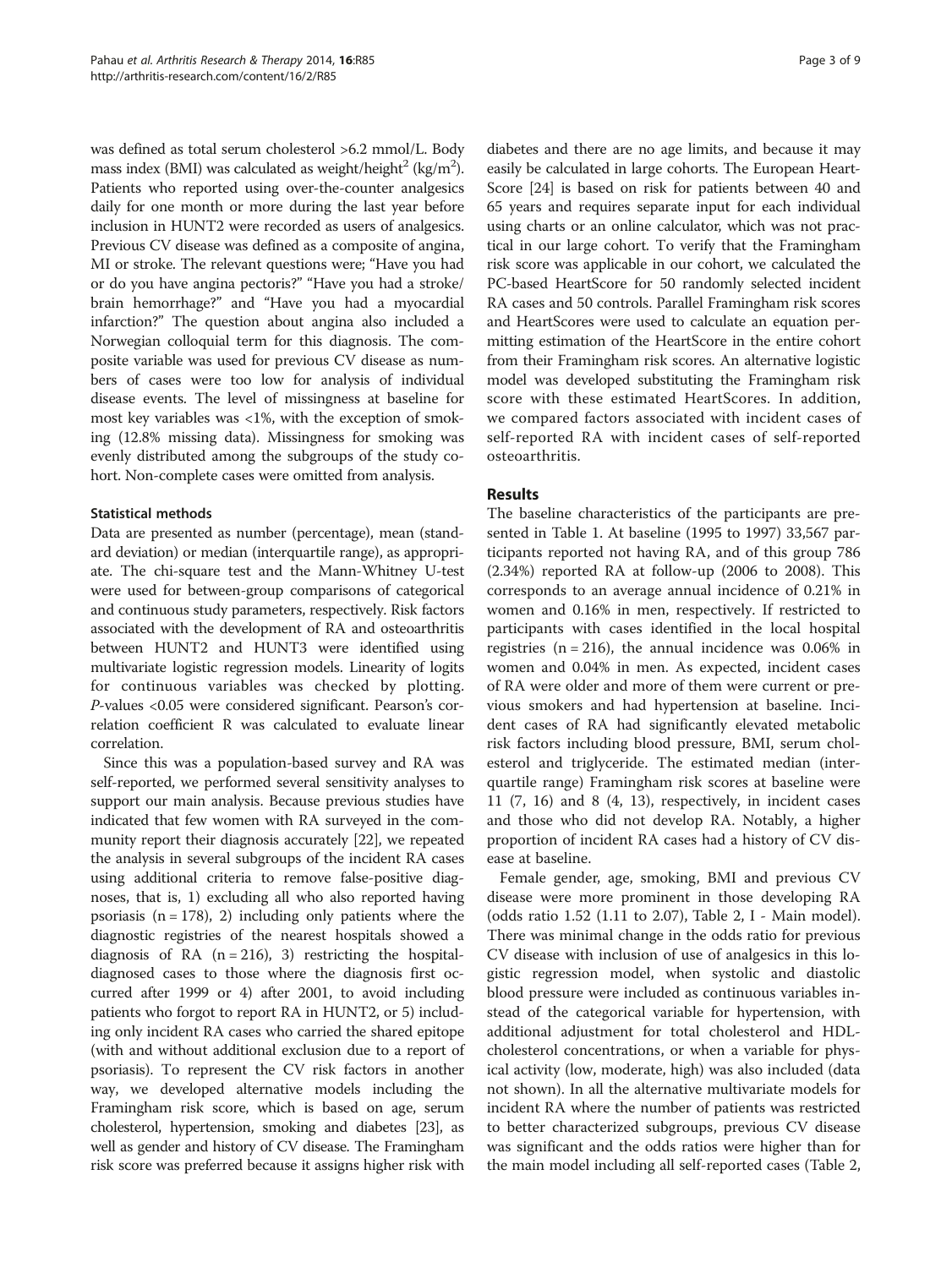was defined as total serum cholesterol >6.2 mmol/L. Body mass index (BMI) was calculated as weight/height $^2$  (kg/m $^2$ ). Patients who reported using over-the-counter analgesics daily for one month or more during the last year before inclusion in HUNT2 were recorded as users of analgesics. Previous CV disease was defined as a composite of angina, MI or stroke. The relevant questions were; "Have you had or do you have angina pectoris?" "Have you had a stroke/ brain hemorrhage?" and "Have you had a myocardial infarction?" The question about angina also included a Norwegian colloquial term for this diagnosis. The composite variable was used for previous CV disease as numbers of cases were too low for analysis of individual disease events. The level of missingness at baseline for most key variables was <1%, with the exception of smoking (12.8% missing data). Missingness for smoking was evenly distributed among the subgroups of the study cohort. Non-complete cases were omitted from analysis.

## Statistical methods

Data are presented as number (percentage), mean (standard deviation) or median (interquartile range), as appropriate. The chi-square test and the Mann-Whitney U-test were used for between-group comparisons of categorical and continuous study parameters, respectively. Risk factors associated with the development of RA and osteoarthritis between HUNT2 and HUNT3 were identified using multivariate logistic regression models. Linearity of logits for continuous variables was checked by plotting. P-values <0.05 were considered significant. Pearson's correlation coefficient R was calculated to evaluate linear correlation.

Since this was a population-based survey and RA was self-reported, we performed several sensitivity analyses to support our main analysis. Because previous studies have indicated that few women with RA surveyed in the community report their diagnosis accurately [\[22\]](#page-7-0), we repeated the analysis in several subgroups of the incident RA cases using additional criteria to remove false-positive diagnoses, that is, 1) excluding all who also reported having psoriasis  $(n = 178)$ , 2) including only patients where the diagnostic registries of the nearest hospitals showed a diagnosis of RA  $(n = 216)$ , 3) restricting the hospitaldiagnosed cases to those where the diagnosis first occurred after 1999 or 4) after 2001, to avoid including patients who forgot to report RA in HUNT2, or 5) including only incident RA cases who carried the shared epitope (with and without additional exclusion due to a report of psoriasis). To represent the CV risk factors in another way, we developed alternative models including the Framingham risk score, which is based on age, serum cholesterol, hypertension, smoking and diabetes [[23](#page-7-0)], as well as gender and history of CV disease. The Framingham risk score was preferred because it assigns higher risk with

diabetes and there are no age limits, and because it may easily be calculated in large cohorts. The European Heart-Score [\[24\]](#page-7-0) is based on risk for patients between 40 and 65 years and requires separate input for each individual using charts or an online calculator, which was not practical in our large cohort. To verify that the Framingham risk score was applicable in our cohort, we calculated the PC-based HeartScore for 50 randomly selected incident RA cases and 50 controls. Parallel Framingham risk scores and HeartScores were used to calculate an equation permitting estimation of the HeartScore in the entire cohort from their Framingham risk scores. An alternative logistic model was developed substituting the Framingham risk score with these estimated HeartScores. In addition, we compared factors associated with incident cases of self-reported RA with incident cases of self-reported osteoarthritis.

## Results

The baseline characteristics of the participants are presented in Table [1](#page-3-0). At baseline (1995 to 1997) 33,567 participants reported not having RA, and of this group 786 (2.34%) reported RA at follow-up (2006 to 2008). This corresponds to an average annual incidence of 0.21% in women and 0.16% in men, respectively. If restricted to participants with cases identified in the local hospital registries ( $n = 216$ ), the annual incidence was 0.06% in women and 0.04% in men. As expected, incident cases of RA were older and more of them were current or previous smokers and had hypertension at baseline. Incident cases of RA had significantly elevated metabolic risk factors including blood pressure, BMI, serum cholesterol and triglyceride. The estimated median (interquartile range) Framingham risk scores at baseline were 11 (7, 16) and 8 (4, 13), respectively, in incident cases and those who did not develop RA. Notably, a higher proportion of incident RA cases had a history of CV disease at baseline.

Female gender, age, smoking, BMI and previous CV disease were more prominent in those developing RA (odds ratio 1.52 (1.11 to 2.07), Table [2,](#page-4-0) I - Main model). There was minimal change in the odds ratio for previous CV disease with inclusion of use of analgesics in this logistic regression model, when systolic and diastolic blood pressure were included as continuous variables instead of the categorical variable for hypertension, with additional adjustment for total cholesterol and HDLcholesterol concentrations, or when a variable for physical activity (low, moderate, high) was also included (data not shown). In all the alternative multivariate models for incident RA where the number of patients was restricted to better characterized subgroups, previous CV disease was significant and the odds ratios were higher than for the main model including all self-reported cases (Table [2](#page-4-0),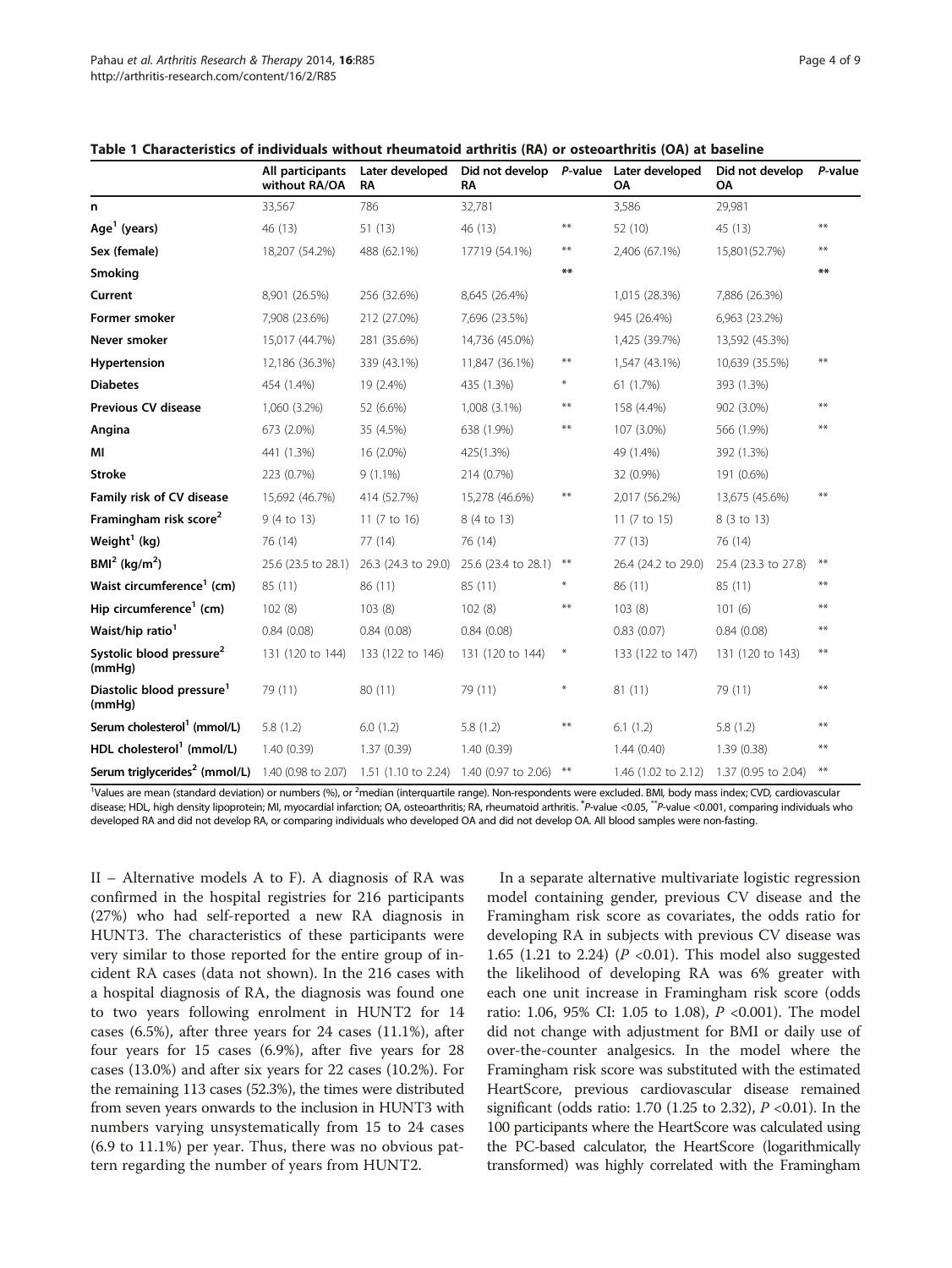|                                                 | All participants<br>without RA/OA | Later developed<br><b>RA</b>                                | Did not develop P-value Later developed<br><b>RA</b> |        | OA                  | Did not develop<br>OΑ                   | P-value |
|-------------------------------------------------|-----------------------------------|-------------------------------------------------------------|------------------------------------------------------|--------|---------------------|-----------------------------------------|---------|
| n                                               | 33,567                            | 786                                                         | 32,781                                               |        | 3,586               | 29,981                                  |         |
| Age <sup>1</sup> (years)                        | 46 (13)                           | 51 (13)                                                     | 46 (13)                                              | $***$  | 52 (10)             | 45 (13)                                 | **      |
| Sex (female)                                    | 18,207 (54.2%)                    | 488 (62.1%)                                                 | 17719 (54.1%)                                        | $***$  | 2,406 (67.1%)       | 15,801(52.7%)                           | $**$    |
| Smoking                                         |                                   |                                                             |                                                      | $**$   |                     |                                         | $***$   |
| Current                                         | 8,901 (26.5%)                     | 256 (32.6%)                                                 | 8,645 (26.4%)                                        |        | 1,015 (28.3%)       | 7,886 (26.3%)                           |         |
| Former smoker                                   | 7,908 (23.6%)                     | 212 (27.0%)                                                 | 7,696 (23.5%)                                        |        | 945 (26.4%)         | 6,963 (23.2%)                           |         |
| Never smoker                                    | 15,017 (44.7%)                    | 281 (35.6%)                                                 | 14,736 (45.0%)                                       |        | 1,425 (39.7%)       | 13,592 (45.3%)                          |         |
| Hypertension                                    | 12,186 (36.3%)                    | 339 (43.1%)                                                 | 11,847 (36.1%)                                       | $***$  | 1,547 (43.1%)       | 10,639 (35.5%)                          | **      |
| <b>Diabetes</b>                                 | 454 (1.4%)                        | 19 (2.4%)                                                   | 435 (1.3%)                                           |        | 61 (1.7%)           | 393 (1.3%)                              |         |
| Previous CV disease                             | 1,060 (3.2%)                      | 52 (6.6%)                                                   | 1,008 (3.1%)                                         | **     | 158 (4.4%)          | 902 (3.0%)                              | $**$    |
| Angina                                          | 673 (2.0%)                        | 35 (4.5%)                                                   | 638 (1.9%)                                           | $***$  | 107 (3.0%)          | 566 (1.9%)                              | **      |
| ΜI                                              | 441 (1.3%)                        | 16 (2.0%)                                                   | 425(1.3%)                                            |        | 49 (1.4%)           | 392 (1.3%)                              |         |
| <b>Stroke</b>                                   | 223 (0.7%)                        | $9(1.1\%)$                                                  | 214 (0.7%)                                           |        | 32 (0.9%)           | 191 (0.6%)                              |         |
| Family risk of CV disease                       | 15,692 (46.7%)                    | 414 (52.7%)                                                 | 15,278 (46.6%)                                       | $***$  | 2,017 (56.2%)       | 13,675 (45.6%)                          | **      |
| Framingham risk score <sup>2</sup>              | 9 (4 to 13)                       | 11 (7 to 16)                                                | 8 (4 to 13)                                          |        | 11 (7 to 15)        | 8 (3 to 13)                             |         |
| Weight <sup>1</sup> (kg)                        | 76 (14)                           | 77 (14)                                                     | 76 (14)                                              |        | 77 (13)             | 76 (14)                                 |         |
| BMl <sup>2</sup> (kg/m <sup>2</sup> )           | 25.6 (23.5 to 28.1)               | 26.3 (24.3 to 29.0)                                         | 25.6 (23.4 to 28.1)                                  | $***$  | 26.4 (24.2 to 29.0) | 25.4 (23.3 to 27.8)                     | $***$   |
| Waist circumference <sup>1</sup> (cm)           | 85 (11)                           | 86 (11)                                                     | 85 (11)                                              | ⋇      | 86 (11)             | 85 (11)                                 | **      |
| Hip circumference <sup>1</sup> (cm)             | 102(8)                            | 103(8)                                                      | 102(8)                                               | $***$  | 103(8)              | 101(6)                                  | $***$   |
| Waist/hip ratio <sup>1</sup>                    | 0.84(0.08)                        | 0.84(0.08)                                                  | 0.84(0.08)                                           |        | 0.83(0.07)          | 0.84(0.08)                              | $**$    |
| Systolic blood pressure <sup>2</sup><br>(mmHq)  | 131 (120 to 144)                  | 133 (122 to 146)                                            | 131 (120 to 144)                                     | $\ast$ | 133 (122 to 147)    | 131 (120 to 143)                        | $***$   |
| Diastolic blood pressure <sup>1</sup><br>(mmHq) | 79 (11)                           | 80 (11)                                                     | 79 (11)                                              | $\ast$ | 81(11)              | 79 (11)                                 | **      |
| Serum cholesterol <sup>1</sup> (mmol/L)         | 5.8(1.2)                          | 6.0(1.2)                                                    | 5.8(1.2)                                             | $***$  | 6.1(1.2)            | 5.8(1.2)                                | $**$    |
| HDL cholesterol <sup>1</sup> (mmol/L)           | 1.40(0.39)                        | 1.37(0.39)                                                  | 1.40(0.39)                                           |        | 1.44(0.40)          | 1.39(0.38)                              | $**$    |
| Serum triglycerides <sup>2</sup> (mmol/L)       |                                   | 1.40 (0.98 to 2.07) 1.51 (1.10 to 2.24) 1.40 (0.97 to 2.06) |                                                      | $***$  |                     | 1.46 (1.02 to 2.12) 1.37 (0.95 to 2.04) | $***$   |

<span id="page-3-0"></span>

<sup>1</sup>Values are mean (standard deviation) or numbers (%), or <sup>2</sup>median (interquartile range). Non-respondents were excluded. BMI, body mass index; CVD, cardiovascular disease; HDL, high density lipoprotein; MI, myocardial infarction; OA, osteoarthritis; RA, rheumatoid arthritis. \* P-value <0.05, \*\*P-value <0.001, comparing individuals who developed RA and did not develop RA, or comparing individuals who developed OA and did not develop OA. All blood samples were non-fasting.

II – Alternative models A to F). A diagnosis of RA was confirmed in the hospital registries for 216 participants (27%) who had self-reported a new RA diagnosis in HUNT3. The characteristics of these participants were very similar to those reported for the entire group of incident RA cases (data not shown). In the 216 cases with a hospital diagnosis of RA, the diagnosis was found one to two years following enrolment in HUNT2 for 14 cases (6.5%), after three years for 24 cases (11.1%), after four years for 15 cases (6.9%), after five years for 28 cases (13.0%) and after six years for 22 cases (10.2%). For the remaining 113 cases (52.3%), the times were distributed from seven years onwards to the inclusion in HUNT3 with numbers varying unsystematically from 15 to 24 cases (6.9 to 11.1%) per year. Thus, there was no obvious pattern regarding the number of years from HUNT2.

In a separate alternative multivariate logistic regression model containing gender, previous CV disease and the Framingham risk score as covariates, the odds ratio for developing RA in subjects with previous CV disease was 1.65 (1.21 to 2.24) ( $P < 0.01$ ). This model also suggested the likelihood of developing RA was 6% greater with each one unit increase in Framingham risk score (odds ratio: 1.06, 95% CI: 1.05 to 1.08), P <0.001). The model did not change with adjustment for BMI or daily use of over-the-counter analgesics. In the model where the Framingham risk score was substituted with the estimated HeartScore, previous cardiovascular disease remained significant (odds ratio: 1.70 (1.25 to 2.32),  $P$  <0.01). In the 100 participants where the HeartScore was calculated using the PC-based calculator, the HeartScore (logarithmically transformed) was highly correlated with the Framingham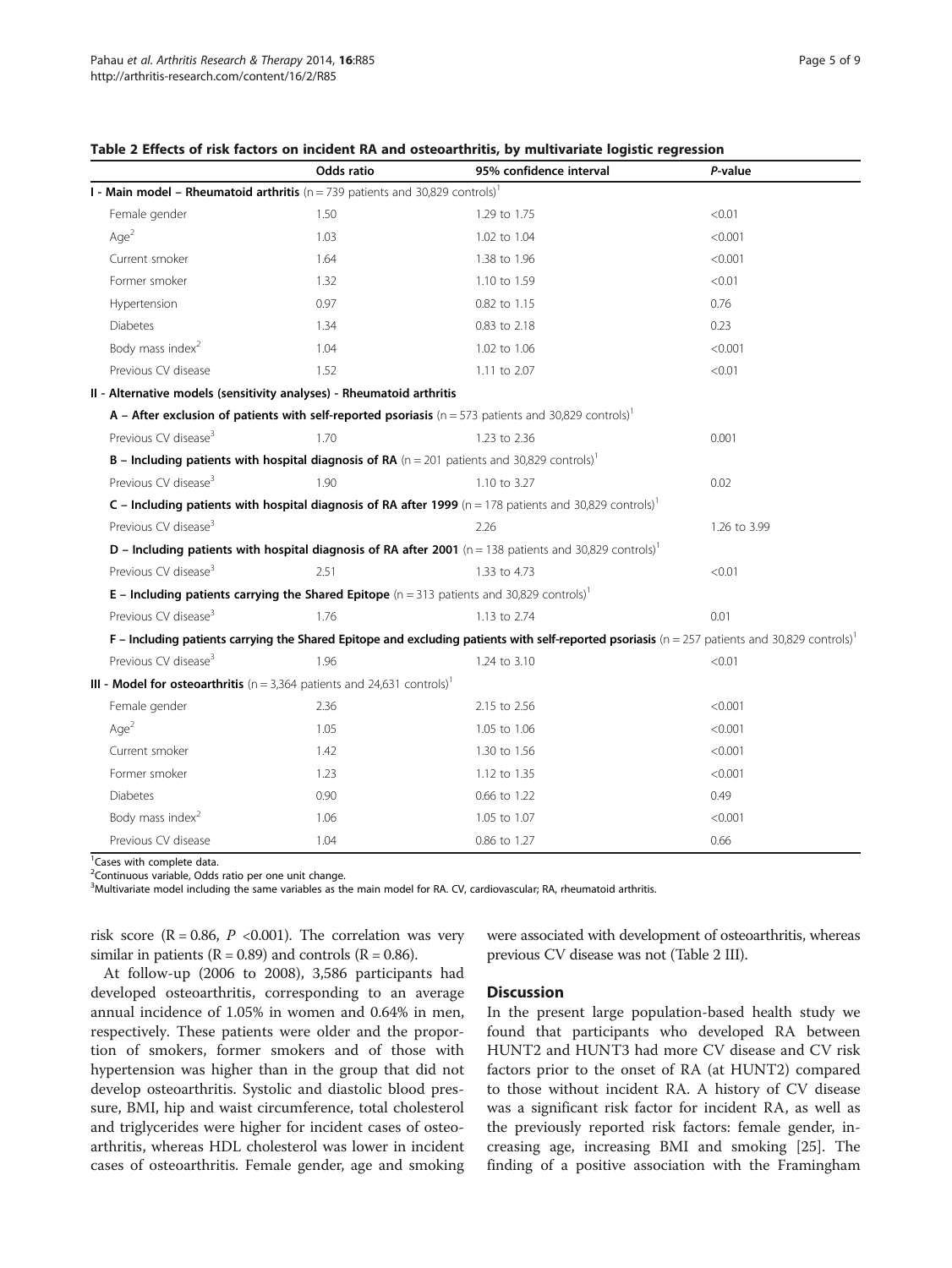|                                                                                                                  | Odds ratio | 95% confidence interval                                                                                                                                       | P-value      |  |  |  |  |
|------------------------------------------------------------------------------------------------------------------|------------|---------------------------------------------------------------------------------------------------------------------------------------------------------------|--------------|--|--|--|--|
| <b>I - Main model – Rheumatoid arthritis</b> ( $n = 739$ patients and 30,829 controls) <sup>1</sup>              |            |                                                                                                                                                               |              |  |  |  |  |
| Female gender                                                                                                    | 1.50       | 1.29 to 1.75                                                                                                                                                  | < 0.01       |  |  |  |  |
| Age <sup>2</sup>                                                                                                 | 1.03       | 1.02 to 1.04                                                                                                                                                  | < 0.001      |  |  |  |  |
| Current smoker                                                                                                   | 1.64       | 1.38 to 1.96                                                                                                                                                  | < 0.001      |  |  |  |  |
| Former smoker                                                                                                    | 1.32       | 1.10 to 1.59                                                                                                                                                  | < 0.01       |  |  |  |  |
| Hypertension                                                                                                     | 0.97       | 0.82 to 1.15                                                                                                                                                  | 0.76         |  |  |  |  |
| <b>Diabetes</b>                                                                                                  | 1.34       | 0.83 to 2.18                                                                                                                                                  | 0.23         |  |  |  |  |
| Body mass index <sup>2</sup>                                                                                     | 1.04       | 1.02 to 1.06                                                                                                                                                  | < 0.001      |  |  |  |  |
| Previous CV disease                                                                                              | 1.52       | 1.11 to 2.07                                                                                                                                                  | < 0.01       |  |  |  |  |
| II - Alternative models (sensitivity analyses) - Rheumatoid arthritis                                            |            |                                                                                                                                                               |              |  |  |  |  |
|                                                                                                                  |            | A – After exclusion of patients with self-reported psoriasis ( $n = 573$ patients and 30,829 controls) <sup>1</sup>                                           |              |  |  |  |  |
| Previous CV disease <sup>3</sup>                                                                                 | 1.70       | 1.23 to 2.36                                                                                                                                                  | 0.001        |  |  |  |  |
|                                                                                                                  |            | <b>B - Including patients with hospital diagnosis of RA</b> ( $n = 201$ patients and 30,829 controls) <sup>1</sup>                                            |              |  |  |  |  |
| Previous CV disease <sup>3</sup>                                                                                 | 1.90       | 1.10 to 3.27                                                                                                                                                  | 0.02         |  |  |  |  |
|                                                                                                                  |            | C - Including patients with hospital diagnosis of RA after 1999 ( $n = 178$ patients and 30,829 controls) <sup>1</sup>                                        |              |  |  |  |  |
| Previous CV disease <sup>3</sup>                                                                                 |            | 2.26                                                                                                                                                          | 1.26 to 3.99 |  |  |  |  |
|                                                                                                                  |            | D - Including patients with hospital diagnosis of RA after 2001 ( $n = 138$ patients and 30,829 controls) <sup>1</sup>                                        |              |  |  |  |  |
| Previous CV disease <sup>3</sup>                                                                                 | 2.51       | 1.33 to 4.73                                                                                                                                                  | < 0.01       |  |  |  |  |
| <b>E – Including patients carrying the Shared Epitope</b> ( $n = 313$ patients and 30,829 controls) <sup>1</sup> |            |                                                                                                                                                               |              |  |  |  |  |
| Previous CV disease <sup>3</sup>                                                                                 | 1.76       | 1.13 to 2.74                                                                                                                                                  | 0.01         |  |  |  |  |
|                                                                                                                  |            | F – Including patients carrying the Shared Epitope and excluding patients with self-reported psoriasis ( $n = 257$ patients and 30,829 controls) <sup>1</sup> |              |  |  |  |  |
| Previous CV disease <sup>3</sup>                                                                                 | 1.96       | 1.24 to 3.10                                                                                                                                                  | < 0.01       |  |  |  |  |
| <b>III - Model for osteoarthritis</b> ( $n = 3,364$ patients and 24,631 controls) <sup>1</sup>                   |            |                                                                                                                                                               |              |  |  |  |  |
| Female gender                                                                                                    | 2.36       | 2.15 to 2.56                                                                                                                                                  | < 0.001      |  |  |  |  |
| Age <sup>2</sup>                                                                                                 | 1.05       | 1.05 to 1.06                                                                                                                                                  | < 0.001      |  |  |  |  |
| Current smoker                                                                                                   | 1.42       | 1.30 to 1.56                                                                                                                                                  | < 0.001      |  |  |  |  |
| Former smoker                                                                                                    | 1.23       | 1.12 to 1.35                                                                                                                                                  | < 0.001      |  |  |  |  |
| <b>Diabetes</b>                                                                                                  | 0.90       | 0.66 to 1.22                                                                                                                                                  | 0.49         |  |  |  |  |
| Body mass index <sup>2</sup>                                                                                     | 1.06       | 1.05 to 1.07                                                                                                                                                  | < 0.001      |  |  |  |  |
| Previous CV disease                                                                                              | 1.04       | 0.86 to 1.27                                                                                                                                                  | 0.66         |  |  |  |  |

#### <span id="page-4-0"></span>Table 2 Effects of risk factors on incident RA and osteoarthritis, by multivariate logistic regression

<sup>1</sup> Cases with complete data.

<sup>2</sup> Continuous variable, Odds ratio per one unit change.

3 Multivariate model including the same variables as the main model for RA. CV, cardiovascular; RA, rheumatoid arthritis.

risk score (R = 0.86,  $P$  <0.001). The correlation was very similar in patients ( $R = 0.89$ ) and controls ( $R = 0.86$ ).

At follow-up (2006 to 2008), 3,586 participants had developed osteoarthritis, corresponding to an average annual incidence of 1.05% in women and 0.64% in men, respectively. These patients were older and the proportion of smokers, former smokers and of those with hypertension was higher than in the group that did not develop osteoarthritis. Systolic and diastolic blood pressure, BMI, hip and waist circumference, total cholesterol and triglycerides were higher for incident cases of osteoarthritis, whereas HDL cholesterol was lower in incident cases of osteoarthritis. Female gender, age and smoking

were associated with development of osteoarthritis, whereas previous CV disease was not (Table 2 III).

#### **Discussion**

In the present large population-based health study we found that participants who developed RA between HUNT2 and HUNT3 had more CV disease and CV risk factors prior to the onset of RA (at HUNT2) compared to those without incident RA. A history of CV disease was a significant risk factor for incident RA, as well as the previously reported risk factors: female gender, increasing age, increasing BMI and smoking [\[25](#page-7-0)]. The finding of a positive association with the Framingham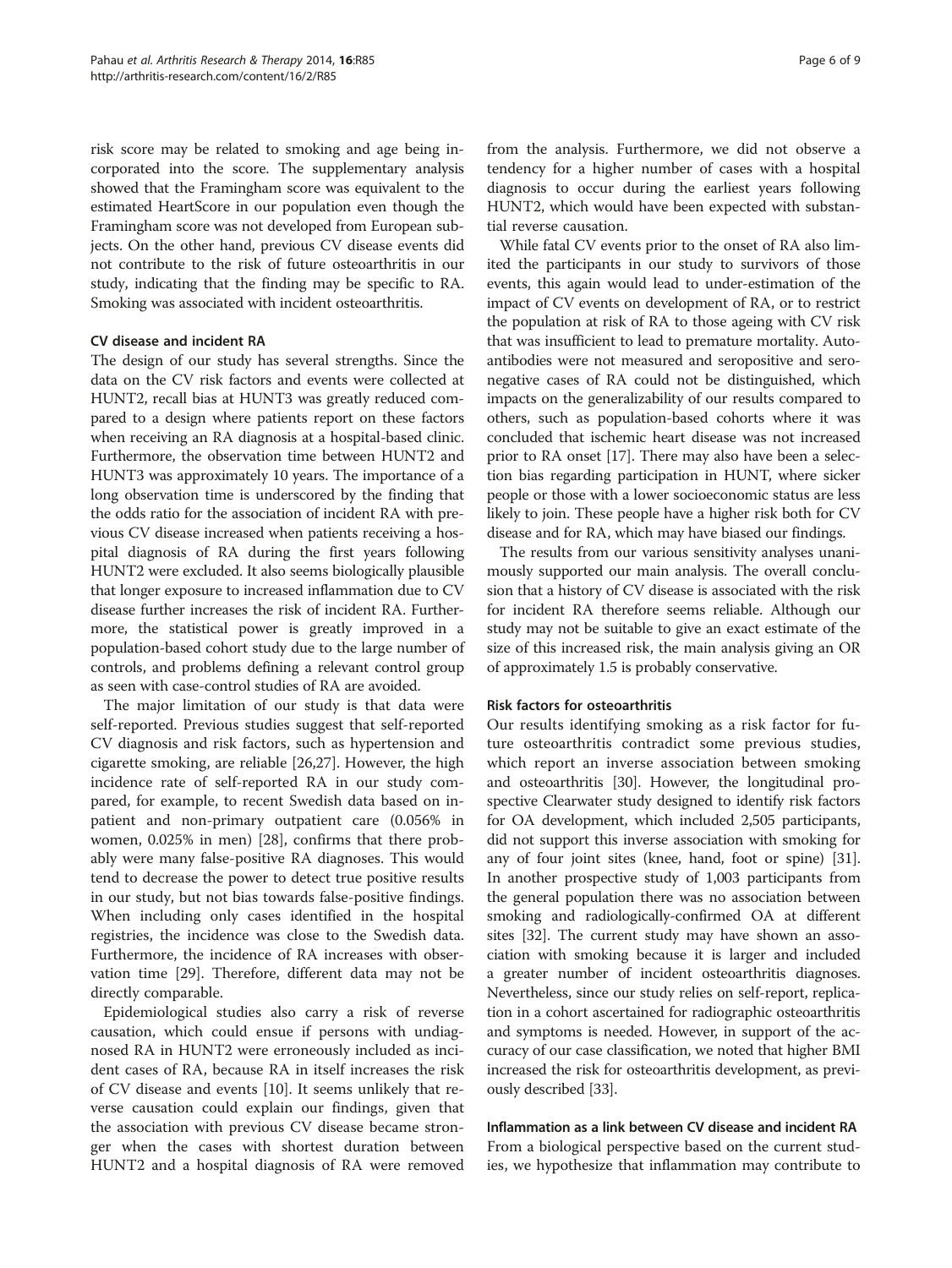risk score may be related to smoking and age being incorporated into the score. The supplementary analysis showed that the Framingham score was equivalent to the estimated HeartScore in our population even though the Framingham score was not developed from European subjects. On the other hand, previous CV disease events did not contribute to the risk of future osteoarthritis in our study, indicating that the finding may be specific to RA. Smoking was associated with incident osteoarthritis.

### CV disease and incident RA

The design of our study has several strengths. Since the data on the CV risk factors and events were collected at HUNT2, recall bias at HUNT3 was greatly reduced compared to a design where patients report on these factors when receiving an RA diagnosis at a hospital-based clinic. Furthermore, the observation time between HUNT2 and HUNT3 was approximately 10 years. The importance of a long observation time is underscored by the finding that the odds ratio for the association of incident RA with previous CV disease increased when patients receiving a hospital diagnosis of RA during the first years following HUNT2 were excluded. It also seems biologically plausible that longer exposure to increased inflammation due to CV disease further increases the risk of incident RA. Furthermore, the statistical power is greatly improved in a population-based cohort study due to the large number of controls, and problems defining a relevant control group as seen with case-control studies of RA are avoided.

The major limitation of our study is that data were self-reported. Previous studies suggest that self-reported CV diagnosis and risk factors, such as hypertension and cigarette smoking, are reliable [[26,27](#page-7-0)]. However, the high incidence rate of self-reported RA in our study compared, for example, to recent Swedish data based on inpatient and non-primary outpatient care (0.056% in women, 0.025% in men) [[28\]](#page-7-0), confirms that there probably were many false-positive RA diagnoses. This would tend to decrease the power to detect true positive results in our study, but not bias towards false-positive findings. When including only cases identified in the hospital registries, the incidence was close to the Swedish data. Furthermore, the incidence of RA increases with observation time [[29\]](#page-7-0). Therefore, different data may not be directly comparable.

Epidemiological studies also carry a risk of reverse causation, which could ensue if persons with undiagnosed RA in HUNT2 were erroneously included as incident cases of RA, because RA in itself increases the risk of CV disease and events [[10\]](#page-7-0). It seems unlikely that reverse causation could explain our findings, given that the association with previous CV disease became stronger when the cases with shortest duration between HUNT2 and a hospital diagnosis of RA were removed from the analysis. Furthermore, we did not observe a tendency for a higher number of cases with a hospital diagnosis to occur during the earliest years following HUNT2, which would have been expected with substantial reverse causation.

While fatal CV events prior to the onset of RA also limited the participants in our study to survivors of those events, this again would lead to under-estimation of the impact of CV events on development of RA, or to restrict the population at risk of RA to those ageing with CV risk that was insufficient to lead to premature mortality. Autoantibodies were not measured and seropositive and seronegative cases of RA could not be distinguished, which impacts on the generalizability of our results compared to others, such as population-based cohorts where it was concluded that ischemic heart disease was not increased prior to RA onset [\[17](#page-7-0)]. There may also have been a selection bias regarding participation in HUNT, where sicker people or those with a lower socioeconomic status are less likely to join. These people have a higher risk both for CV disease and for RA, which may have biased our findings.

The results from our various sensitivity analyses unanimously supported our main analysis. The overall conclusion that a history of CV disease is associated with the risk for incident RA therefore seems reliable. Although our study may not be suitable to give an exact estimate of the size of this increased risk, the main analysis giving an OR of approximately 1.5 is probably conservative.

#### Risk factors for osteoarthritis

Our results identifying smoking as a risk factor for future osteoarthritis contradict some previous studies, which report an inverse association between smoking and osteoarthritis [\[30\]](#page-7-0). However, the longitudinal prospective Clearwater study designed to identify risk factors for OA development, which included 2,505 participants, did not support this inverse association with smoking for any of four joint sites (knee, hand, foot or spine) [[31](#page-7-0)]. In another prospective study of 1,003 participants from the general population there was no association between smoking and radiologically-confirmed OA at different sites [[32](#page-7-0)]. The current study may have shown an association with smoking because it is larger and included a greater number of incident osteoarthritis diagnoses. Nevertheless, since our study relies on self-report, replication in a cohort ascertained for radiographic osteoarthritis and symptoms is needed. However, in support of the accuracy of our case classification, we noted that higher BMI increased the risk for osteoarthritis development, as previously described [[33](#page-7-0)].

## Inflammation as a link between CV disease and incident RA

From a biological perspective based on the current studies, we hypothesize that inflammation may contribute to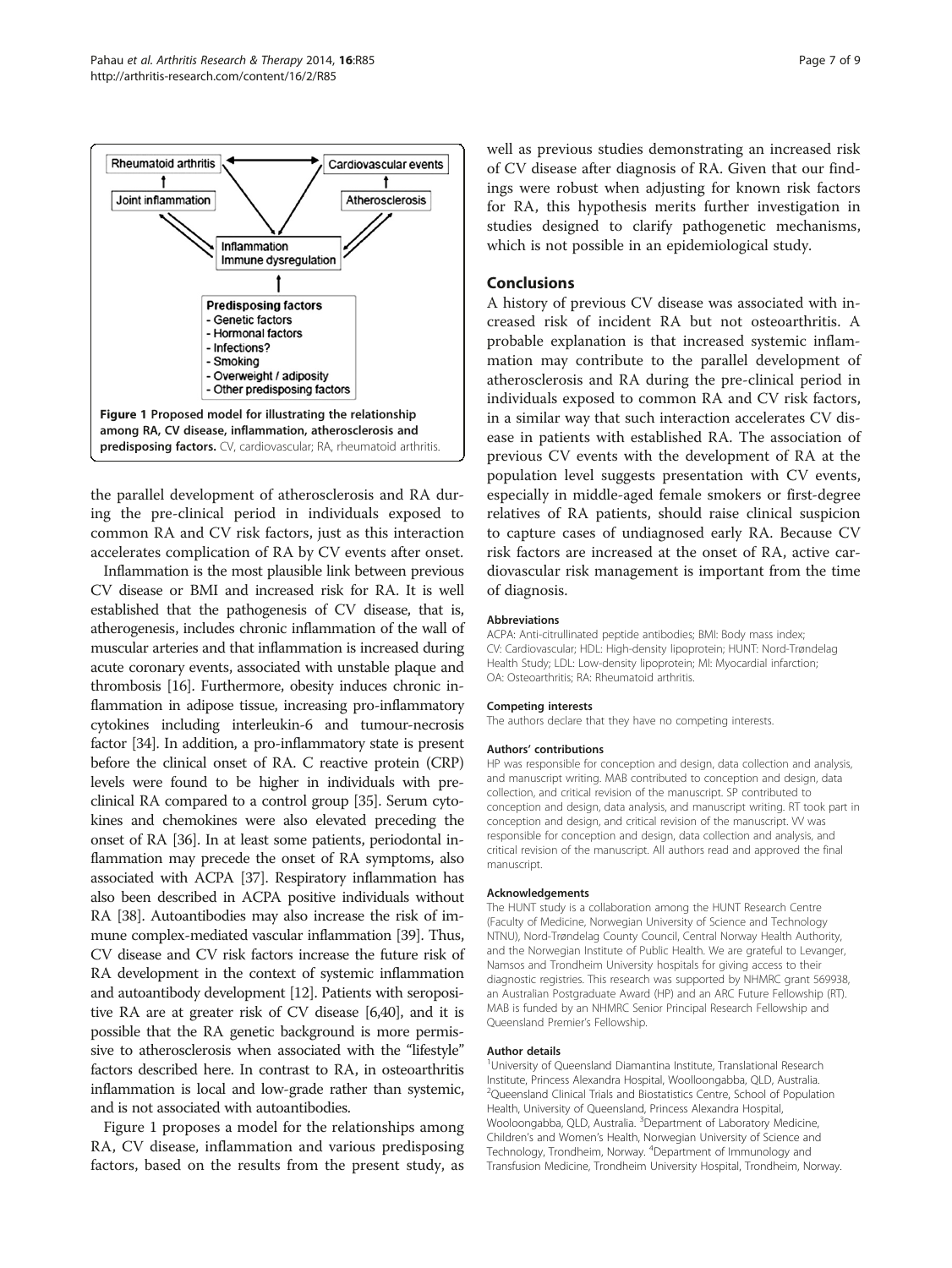

the parallel development of atherosclerosis and RA during the pre-clinical period in individuals exposed to common RA and CV risk factors, just as this interaction accelerates complication of RA by CV events after onset.

Inflammation is the most plausible link between previous CV disease or BMI and increased risk for RA. It is well established that the pathogenesis of CV disease, that is, atherogenesis, includes chronic inflammation of the wall of muscular arteries and that inflammation is increased during acute coronary events, associated with unstable plaque and thrombosis [\[16\]](#page-7-0). Furthermore, obesity induces chronic inflammation in adipose tissue, increasing pro-inflammatory cytokines including interleukin-6 and tumour-necrosis factor [\[34\]](#page-7-0). In addition, a pro-inflammatory state is present before the clinical onset of RA. C reactive protein (CRP) levels were found to be higher in individuals with preclinical RA compared to a control group [\[35\]](#page-7-0). Serum cytokines and chemokines were also elevated preceding the onset of RA [\[36](#page-7-0)]. In at least some patients, periodontal inflammation may precede the onset of RA symptoms, also associated with ACPA [\[37\]](#page-7-0). Respiratory inflammation has also been described in ACPA positive individuals without RA [\[38\]](#page-7-0). Autoantibodies may also increase the risk of immune complex-mediated vascular inflammation [\[39](#page-8-0)]. Thus, CV disease and CV risk factors increase the future risk of RA development in the context of systemic inflammation and autoantibody development [\[12\]](#page-7-0). Patients with seropositive RA are at greater risk of CV disease [\[6](#page-7-0)[,40\]](#page-8-0), and it is possible that the RA genetic background is more permissive to atherosclerosis when associated with the "lifestyle" factors described here. In contrast to RA, in osteoarthritis inflammation is local and low-grade rather than systemic, and is not associated with autoantibodies.

Figure 1 proposes a model for the relationships among RA, CV disease, inflammation and various predisposing factors, based on the results from the present study, as well as previous studies demonstrating an increased risk of CV disease after diagnosis of RA. Given that our findings were robust when adjusting for known risk factors for RA, this hypothesis merits further investigation in studies designed to clarify pathogenetic mechanisms, which is not possible in an epidemiological study.

## Conclusions

A history of previous CV disease was associated with increased risk of incident RA but not osteoarthritis. A probable explanation is that increased systemic inflammation may contribute to the parallel development of atherosclerosis and RA during the pre-clinical period in individuals exposed to common RA and CV risk factors, in a similar way that such interaction accelerates CV disease in patients with established RA. The association of previous CV events with the development of RA at the population level suggests presentation with CV events, especially in middle-aged female smokers or first-degree relatives of RA patients, should raise clinical suspicion to capture cases of undiagnosed early RA. Because CV risk factors are increased at the onset of RA, active cardiovascular risk management is important from the time of diagnosis.

#### Abbreviations

ACPA: Anti-citrullinated peptide antibodies; BMI: Body mass index; CV: Cardiovascular; HDL: High-density lipoprotein; HUNT: Nord-Trøndelag Health Study; LDL: Low-density lipoprotein; MI: Myocardial infarction; OA: Osteoarthritis; RA: Rheumatoid arthritis.

#### Competing interests

The authors declare that they have no competing interests.

#### Authors' contributions

HP was responsible for conception and design, data collection and analysis, and manuscript writing. MAB contributed to conception and design, data collection, and critical revision of the manuscript. SP contributed to conception and design, data analysis, and manuscript writing. RT took part in conception and design, and critical revision of the manuscript. VV was responsible for conception and design, data collection and analysis, and critical revision of the manuscript. All authors read and approved the final manuscript.

#### Acknowledgements

The HUNT study is a collaboration among the HUNT Research Centre (Faculty of Medicine, Norwegian University of Science and Technology NTNU), Nord-Trøndelag County Council, Central Norway Health Authority, and the Norwegian Institute of Public Health. We are grateful to Levanger, Namsos and Trondheim University hospitals for giving access to their diagnostic registries. This research was supported by NHMRC grant 569938, an Australian Postgraduate Award (HP) and an ARC Future Fellowship (RT). MAB is funded by an NHMRC Senior Principal Research Fellowship and Queensland Premier's Fellowship.

#### Author details

<sup>1</sup>University of Queensland Diamantina Institute, Translational Research Institute, Princess Alexandra Hospital, Woolloongabba, QLD, Australia. 2 Queensland Clinical Trials and Biostatistics Centre, School of Population Health, University of Queensland, Princess Alexandra Hospital, Wooloongabba, QLD, Australia. <sup>3</sup>Department of Laboratory Medicine, Children's and Women's Health, Norwegian University of Science and Technology, Trondheim, Norway. <sup>4</sup>Department of Immunology and Transfusion Medicine, Trondheim University Hospital, Trondheim, Norway.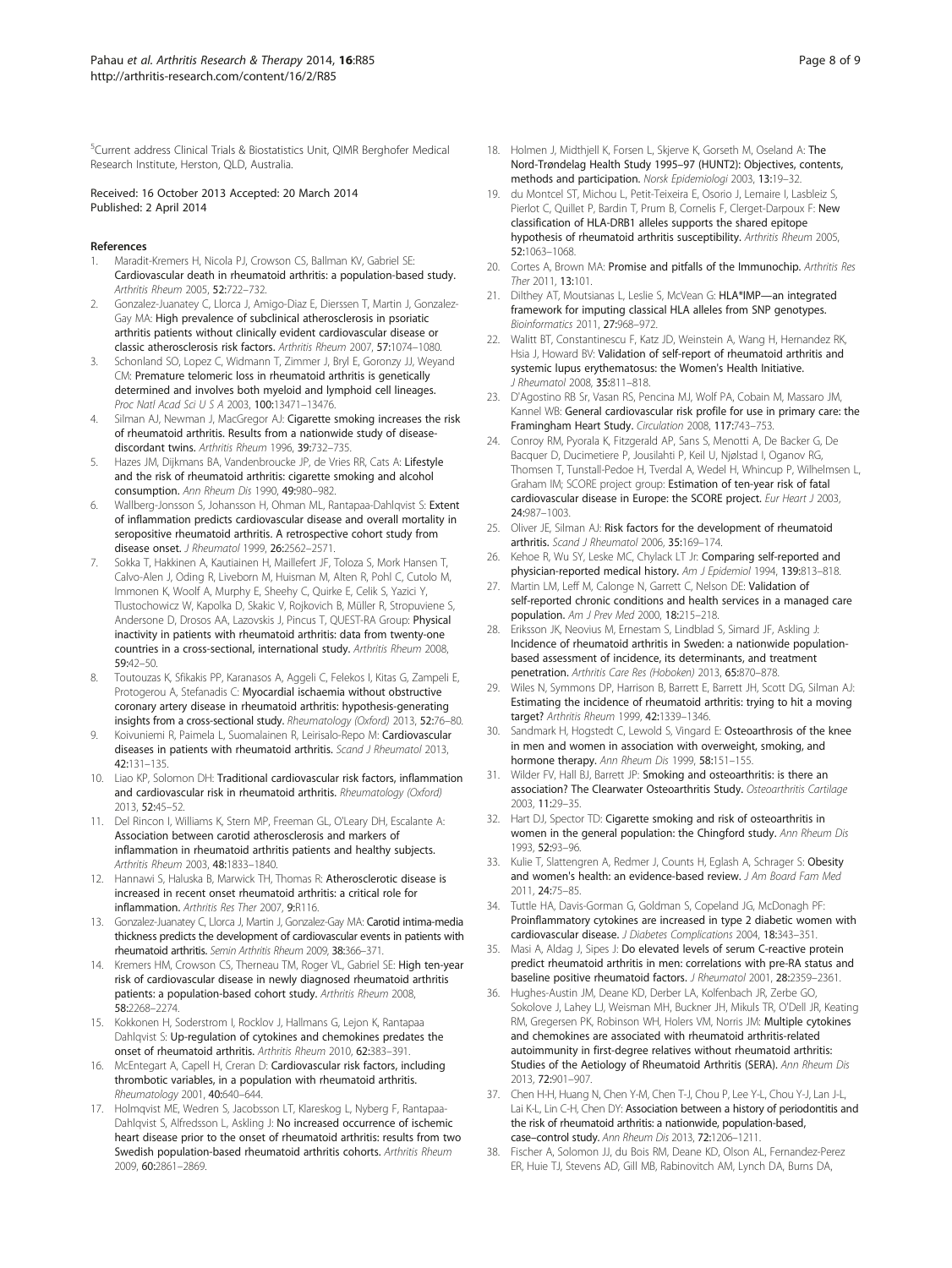<span id="page-7-0"></span>5 Current address Clinical Trials & Biostatistics Unit, QIMR Berghofer Medical Research Institute, Herston, QLD, Australia.

Received: 16 October 2013 Accepted: 20 March 2014 Published: 2 April 2014

#### References

- Maradit-Kremers H, Nicola PJ, Crowson CS, Ballman KV, Gabriel SE: Cardiovascular death in rheumatoid arthritis: a population-based study. Arthritis Rheum 2005, 52:722–732.
- 2. Gonzalez-Juanatey C, Llorca J, Amigo-Diaz E, Dierssen T, Martin J, Gonzalez-Gay MA: High prevalence of subclinical atherosclerosis in psoriatic arthritis patients without clinically evident cardiovascular disease or classic atherosclerosis risk factors. Arthritis Rheum 2007, 57:1074–1080.
- Schonland SO, Lopez C, Widmann T, Zimmer J, Bryl E, Goronzy JJ, Weyand CM: Premature telomeric loss in rheumatoid arthritis is genetically determined and involves both myeloid and lymphoid cell lineages. Proc Natl Acad Sci U S A 2003, 100:13471–13476.
- Silman AJ, Newman J, MacGregor AJ: Cigarette smoking increases the risk of rheumatoid arthritis. Results from a nationwide study of diseasediscordant twins. Arthritis Rheum 1996, 39:732–735.
- 5. Hazes JM, Dijkmans BA, Vandenbroucke JP, de Vries RR, Cats A: Lifestyle and the risk of rheumatoid arthritis: cigarette smoking and alcohol consumption. Ann Rheum Dis 1990, 49:980–982.
- 6. Wallberg-Jonsson S, Johansson H, Ohman ML, Rantapaa-Dahlqvist S: Extent of inflammation predicts cardiovascular disease and overall mortality in seropositive rheumatoid arthritis. A retrospective cohort study from disease onset. J Rheumatol 1999, 26:2562–2571.
- 7. Sokka T, Hakkinen A, Kautiainen H, Maillefert JF, Toloza S, Mork Hansen T, Calvo-Alen J, Oding R, Liveborn M, Huisman M, Alten R, Pohl C, Cutolo M, Immonen K, Woolf A, Murphy E, Sheehy C, Quirke E, Celik S, Yazici Y, Tlustochowicz W, Kapolka D, Skakic V, Rojkovich B, Müller R, Stropuviene S, Andersone D, Drosos AA, Lazovskis J, Pincus T, QUEST-RA Group: Physical inactivity in patients with rheumatoid arthritis: data from twenty-one countries in a cross-sectional, international study. Arthritis Rheum 2008, 59:42–50.
- 8. Toutouzas K, Sfikakis PP, Karanasos A, Aggeli C, Felekos I, Kitas G, Zampeli E, Protogerou A, Stefanadis C: Myocardial ischaemia without obstructive coronary artery disease in rheumatoid arthritis: hypothesis-generating insights from a cross-sectional study. Rheumatology (Oxford) 2013, 52:76–80.
- Koivuniemi R, Paimela L, Suomalainen R, Leirisalo-Repo M: Cardiovascular diseases in patients with rheumatoid arthritis. Scand J Rheumatol 2013, 42:131–135.
- 10. Liao KP, Solomon DH: Traditional cardiovascular risk factors, inflammation and cardiovascular risk in rheumatoid arthritis. Rheumatology (Oxford) 2013, 52:45–52.
- 11. Del Rincon I, Williams K, Stern MP, Freeman GL, O'Leary DH, Escalante A: Association between carotid atherosclerosis and markers of inflammation in rheumatoid arthritis patients and healthy subjects. Arthritis Rheum 2003, 48:1833–1840.
- 12. Hannawi S, Haluska B, Marwick TH, Thomas R: Atherosclerotic disease is increased in recent onset rheumatoid arthritis: a critical role for inflammation. Arthritis Res Ther 2007, 9:R116.
- 13. Gonzalez-Juanatey C, Llorca J, Martin J, Gonzalez-Gay MA: Carotid intima-media thickness predicts the development of cardiovascular events in patients with rheumatoid arthritis. Semin Arthritis Rheum 2009, 38:366–371.
- 14. Kremers HM, Crowson CS, Therneau TM, Roger VL, Gabriel SE: High ten-year risk of cardiovascular disease in newly diagnosed rheumatoid arthritis patients: a population-based cohort study. Arthritis Rheum 2008, 58:2268–2274.
- 15. Kokkonen H, Soderstrom I, Rocklov J, Hallmans G, Lejon K, Rantapaa Dahlqvist S: Up-regulation of cytokines and chemokines predates the onset of rheumatoid arthritis. Arthritis Rheum 2010, 62:383–391.
- 16. McEntegart A, Capell H, Creran D: Cardiovascular risk factors, including thrombotic variables, in a population with rheumatoid arthritis. Rheumatology 2001, 40:640–644.
- 17. Holmqvist ME, Wedren S, Jacobsson LT, Klareskog L, Nyberg F, Rantapaa-Dahlqvist S, Alfredsson L, Askling J: No increased occurrence of ischemic heart disease prior to the onset of rheumatoid arthritis: results from two Swedish population-based rheumatoid arthritis cohorts. Arthritis Rheum 2009, 60:2861–2869.
- 18. Holmen J, Midthjell K, Forsen L, Skjerve K, Gorseth M, Oseland A: The Nord-Trøndelag Health Study 1995–97 (HUNT2): Objectives, contents, methods and participation. Norsk Epidemiologi 2003, 13:19–32.
- 19. du Montcel ST, Michou L, Petit-Teixeira E, Osorio J, Lemaire I, Lasbleiz S, Pierlot C, Quillet P, Bardin T, Prum B, Cornelis F, Clerget-Darpoux F: New classification of HLA-DRB1 alleles supports the shared epitope hypothesis of rheumatoid arthritis susceptibility. Arthritis Rheum 2005, 52:1063–1068.
- 20. Cortes A, Brown MA: Promise and pitfalls of the Immunochip. Arthritis Res Ther 2011, 13:101.
- 21. Dilthey AT, Moutsianas L, Leslie S, McVean G: HLA\*IMP-an integrated framework for imputing classical HLA alleles from SNP genotypes. Bioinformatics 2011, 27:968–972.
- 22. Walitt BT, Constantinescu F, Katz JD, Weinstein A, Wang H, Hernandez RK, Hsia J, Howard BV: Validation of self-report of rheumatoid arthritis and systemic lupus erythematosus: the Women's Health Initiative. J Rheumatol 2008, 35:811–818.
- 23. D'Agostino RB Sr, Vasan RS, Pencina MJ, Wolf PA, Cobain M, Massaro JM, Kannel WB: General cardiovascular risk profile for use in primary care: the Framingham Heart Study. Circulation 2008, 117:743–753.
- 24. Conroy RM, Pyorala K, Fitzgerald AP, Sans S, Menotti A, De Backer G, De Bacquer D, Ducimetiere P, Jousilahti P, Keil U, Njølstad I, Oganov RG, Thomsen T, Tunstall-Pedoe H, Tverdal A, Wedel H, Whincup P, Wilhelmsen L, Graham IM; SCORE project group: Estimation of ten-year risk of fatal cardiovascular disease in Europe: the SCORE project. Eur Heart J 2003, 24:987–1003.
- 25. Oliver JE, Silman AJ: Risk factors for the development of rheumatoid arthritis. Scand J Rheumatol 2006, 35:169–174.
- 26. Kehoe R, Wu SY, Leske MC, Chylack LT Jr: Comparing self-reported and physician-reported medical history. Am J Epidemiol 1994, 139:813–818.
- 27. Martin LM, Leff M, Calonge N, Garrett C, Nelson DE: Validation of self-reported chronic conditions and health services in a managed care population. Am J Prev Med 2000, 18:215–218.
- 28. Eriksson JK, Neovius M, Ernestam S, Lindblad S, Simard JF, Askling J: Incidence of rheumatoid arthritis in Sweden: a nationwide populationbased assessment of incidence, its determinants, and treatment penetration. Arthritis Care Res (Hoboken) 2013, 65:870–878.
- 29. Wiles N, Symmons DP, Harrison B, Barrett E, Barrett JH, Scott DG, Silman AJ: Estimating the incidence of rheumatoid arthritis: trying to hit a moving target? Arthritis Rheum 1999, 42:1339–1346.
- 30. Sandmark H, Hogstedt C, Lewold S, Vingard E: Osteoarthrosis of the knee in men and women in association with overweight, smoking, and hormone therapy. Ann Rheum Dis 1999, 58:151-155.
- 31. Wilder FV, Hall BJ, Barrett JP: Smoking and osteoarthritis: is there an association? The Clearwater Osteoarthritis Study. Osteoarthritis Cartilage 2003, 11:29–35.
- 32. Hart DJ, Spector TD: Cigarette smoking and risk of osteoarthritis in women in the general population: the Chingford study. Ann Rheum Dis 1993, 52:93–96.
- 33. Kulie T, Slattengren A, Redmer J, Counts H, Eglash A, Schrager S: Obesity and women's health: an evidence-based review. J Am Board Fam Med 2011, 24:75–85.
- 34. Tuttle HA, Davis-Gorman G, Goldman S, Copeland JG, McDonagh PF: Proinflammatory cytokines are increased in type 2 diabetic women with cardiovascular disease. J Diabetes Complications 2004, 18:343–351.
- 35. Masi A, Aldag J, Sipes J: Do elevated levels of serum C-reactive protein predict rheumatoid arthritis in men: correlations with pre-RA status and baseline positive rheumatoid factors. J Rheumatol 2001, 28:2359–2361.
- 36. Hughes-Austin JM, Deane KD, Derber LA, Kolfenbach JR, Zerbe GO, Sokolove J, Lahey LJ, Weisman MH, Buckner JH, Mikuls TR, O'Dell JR, Keating RM, Gregersen PK, Robinson WH, Holers VM, Norris JM: Multiple cytokines and chemokines are associated with rheumatoid arthritis-related autoimmunity in first-degree relatives without rheumatoid arthritis: Studies of the Aetiology of Rheumatoid Arthritis (SERA). Ann Rheum Dis 2013, 72:901–907.
- 37. Chen H-H, Huang N, Chen Y-M, Chen T-J, Chou P, Lee Y-L, Chou Y-J, Lan J-L, Lai K-L, Lin C-H, Chen DY: Association between a history of periodontitis and the risk of rheumatoid arthritis: a nationwide, population-based, case–control study. Ann Rheum Dis 2013, 72:1206–1211.
- 38. Fischer A, Solomon JJ, du Bois RM, Deane KD, Olson AL, Fernandez-Perez ER, Huie TJ, Stevens AD, Gill MB, Rabinovitch AM, Lynch DA, Burns DA,